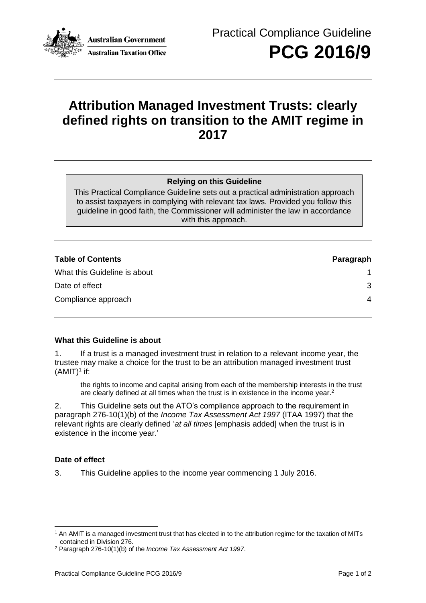

# **Attribution Managed Investment Trusts: clearly defined rights on transition to the AMIT regime in 2017**

## **Relying on this Guideline**

This Practical Compliance Guideline sets out a practical administration approach to assist taxpayers in complying with relevant tax laws. Provided you follow this guideline in good faith, the Commissioner will administer the law in accordance with this approach.

| <b>Table of Contents</b>     | Paragraph |
|------------------------------|-----------|
| What this Guideline is about |           |
| Date of effect               | 3         |
| Compliance approach          | 4         |

## **What this Guideline is about**

1. If a trust is a managed investment trust in relation to a relevant income year, the trustee may make a choice for the trust to be an attribution managed investment trust  $(AMIT)^1$  if:

the rights to income and capital arising from each of the membership interests in the trust are clearly defined at all times when the trust is in existence in the income year.<sup>2</sup>

2. This Guideline sets out the ATO's compliance approach to the requirement in paragraph 276-10(1)(b) of the *Income Tax Assessment Act 1997* (ITAA 1997) that the relevant rights are clearly defined '*at all times* [emphasis added] when the trust is in existence in the income year.'

## **Date of effect**

3. This Guideline applies to the income year commencing 1 July 2016.

 $1$  An AMIT is a managed investment trust that has elected in to the attribution regime for the taxation of MITs contained in Division 276.

<sup>2</sup> Paragraph 276-10(1)(b) of the *Income Tax Assessment Act 1997*.